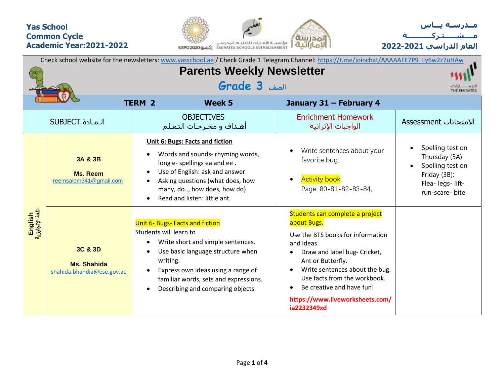## **Yas School Common Cycle Academic Year:2021-2022**





**العام الدراسي -2021 2022**

| Check school website for the newsletters: www.yasschool.ae / Check Grade 1 Telegram Channel: https://t.me/joinchat/AAAAAFE7P9 Ly6w2z7uHAw<br><b>Parents Weekly Newsletter</b> |                                                             |                                                                                                                                                                                                                                                                                  |                                                                                                                                                                                                                                                                                                                      |                                                                                                               |  |  |  |  |  |  |  |
|-------------------------------------------------------------------------------------------------------------------------------------------------------------------------------|-------------------------------------------------------------|----------------------------------------------------------------------------------------------------------------------------------------------------------------------------------------------------------------------------------------------------------------------------------|----------------------------------------------------------------------------------------------------------------------------------------------------------------------------------------------------------------------------------------------------------------------------------------------------------------------|---------------------------------------------------------------------------------------------------------------|--|--|--|--|--|--|--|
|                                                                                                                                                                               |                                                             |                                                                                                                                                                                                                                                                                  |                                                                                                                                                                                                                                                                                                                      |                                                                                                               |  |  |  |  |  |  |  |
|                                                                                                                                                                               |                                                             |                                                                                                                                                                                                                                                                                  |                                                                                                                                                                                                                                                                                                                      |                                                                                                               |  |  |  |  |  |  |  |
|                                                                                                                                                                               |                                                             | <b>TERM 2</b><br><b>Week 5</b>                                                                                                                                                                                                                                                   | January 31 - February 4                                                                                                                                                                                                                                                                                              |                                                                                                               |  |  |  |  |  |  |  |
|                                                                                                                                                                               |                                                             |                                                                                                                                                                                                                                                                                  |                                                                                                                                                                                                                                                                                                                      |                                                                                                               |  |  |  |  |  |  |  |
|                                                                                                                                                                               | <b>SUBJECT</b> الـمـادة                                     | <b>OBJECTIVES</b><br>أهداف و مخرجات التعلم                                                                                                                                                                                                                                       | <b>Enrichment Homework</b><br>الواجبات الإثرائية                                                                                                                                                                                                                                                                     | الامتحانات Assessment                                                                                         |  |  |  |  |  |  |  |
| English<br>اللغة الإنجليزية                                                                                                                                                   | 3A & 3B<br><b>Ms. Reem</b><br>reemsalem341@gmail.com        | <b>Unit 6: Bugs: Facts and fiction</b><br>Words and sounds- rhyming words,<br>long e- spellings ea and ee.<br>Use of English: ask and answer<br>Asking questions (what does, how<br>many, do, how does, how do)<br>Read and listen: little ant.                                  | Write sentences about your<br>favorite bug.<br><b>Activity book</b> .<br>Page: 80-81-82-83-84.                                                                                                                                                                                                                       | Spelling test on<br>Thursday (3A)<br>Spelling test on<br>Friday (3B):<br>Flea- legs- lift-<br>run-scare- bite |  |  |  |  |  |  |  |
|                                                                                                                                                                               | 3C & 3D<br><b>Ms. Shahida</b><br>shahida.bhandia@ese.gov.ae | Unit 6- Bugs- Facts and fiction<br>Students will learn to<br>Write short and simple sentences.<br>$\bullet$<br>Use basic language structure when<br>writing.<br>Express own ideas using a range of<br>familiar words, sets and expressions.<br>Describing and comparing objects. | Students can complete a project<br>about Bugs.<br>Use the BTS books for information<br>and ideas.<br>Draw and label bug- Cricket,<br>Ant or Butterfly.<br>Write sentences about the bug.<br>$\bullet$<br>Use facts from the workbook.<br>Be creative and have fun!<br>https://www.liveworksheets.com/<br>ia2232349xd |                                                                                                               |  |  |  |  |  |  |  |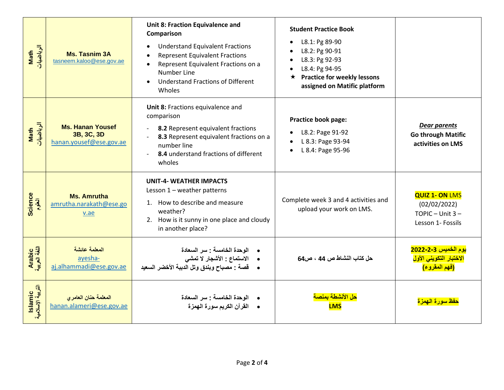| الرياضيات<br>Math            | <b>Ms. Tasnim 3A</b><br>tasneem.kaloo@ese.gov.ae                 | <b>Unit 8: Fraction Equivalence and</b><br>Comparison<br><b>Understand Equivalent Fractions</b><br><b>Represent Equivalent Fractions</b><br>Represent Equivalent Fractions on a<br>$\bullet$<br>Number Line<br><b>Understand Fractions of Different</b><br>$\bullet$<br>Wholes | <b>Student Practice Book</b><br>L8.1: Pg 89-90<br>L8.2: Pg 90-91<br>L8.3: Pg 92-93<br>L8.4: Pg 94-95<br><b>Practice for weekly lessons</b><br>$\star$<br>assigned on Matific platform |                                                                                                        |
|------------------------------|------------------------------------------------------------------|--------------------------------------------------------------------------------------------------------------------------------------------------------------------------------------------------------------------------------------------------------------------------------|---------------------------------------------------------------------------------------------------------------------------------------------------------------------------------------|--------------------------------------------------------------------------------------------------------|
| الرياضيات<br>Math            | <b>Ms. Hanan Yousef</b><br>3B, 3C, 3D<br>hanan.yousef@ese.gov.ae | Unit 8: Fractions equivalence and<br>comparison<br>8.2 Represent equivalent fractions<br>8.3 Represent equivalent fractions on a<br>number line<br>8.4 understand fractions of different<br>$\blacksquare$<br>wholes                                                           | <b>Practice book page:</b><br>L8.2: Page 91-92<br>L 8.3: Page 93-94<br>L 8.4: Page 95-96                                                                                              | <b>Dear parents</b><br><b>Go through Matific</b><br>activities on LMS                                  |
| <b>Science</b><br>آلطوم      | <b>Ms. Amrutha</b><br>amrutha.narakath@ese.go<br>v.ae            | <b>UNIT-4- WEATHER IMPACTS</b><br>Lesson $1$ – weather patterns<br>1. How to describe and measure<br>weather?<br>2. How is it sunny in one place and cloudy<br>in another place?                                                                                               | Complete week 3 and 4 activities and<br>upload your work on LMS.                                                                                                                      | <b>QUIZ 1- ON LMS</b><br>(02/02/2022)<br>TOPIC - Unit $3 -$<br>Lesson 1- Fossils                       |
| Arabic<br>اللغة العربية      | المعلمة عائشة<br>ayesha-<br>aj.alhammadi@ese.gov.ae              | الوحدة الخامسة : سر السعادة<br>•     الاستماع : الأشجار لا تمشي<br>•    قصة : مصباح وبندق وتل الدببة الأخضر السعيد                                                                                                                                                             | حل كتاب النشاط ص 44 ، ص64                                                                                                                                                             | <mark>يوم الخميس 2-2-2022</mark><br><mark>الاختبار التكويني الأول</mark><br><mark>(فهم المقروع)</mark> |
| lslamic<br>التربية الإسلامية | المعلمة حنان العامري<br>hanan.alameri@ese.gov.ae                 | الوحدة الخامسة : سر السعادة<br>القرآن الكريم سورة الهمزة                                                                                                                                                                                                                       | <u>هل الأنشطة يمن</u><br><b>LMS</b>                                                                                                                                                   | <mark>حفظ سورة الهمزة</mark>                                                                           |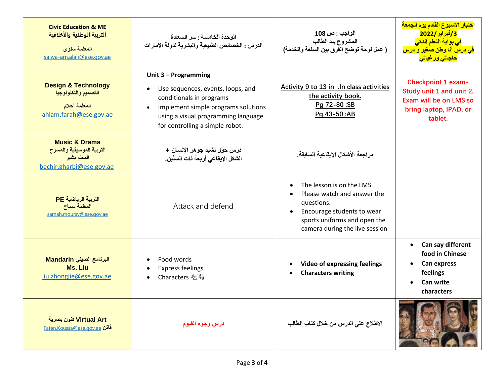| <b>Civic Education &amp; ME</b><br>التربية الوطنية والأخلاقية<br>المعلمة سلوى<br>salwa-am.alali@ese.gov.ae | الوحدة الخامسة : سر السعادة<br>الدرس : الخصائص الطبيعية والبشرية لدولة الامارات                                                                                                                                                  | الواجب : ص 108<br>المشروع بيد الطالب<br>( عمل لوحة توضح الفرق بين السلعة والخدمة)                                                                                                  | ا <mark>ختبار الاسبوع القادم يوم الجمعة</mark><br>3/فبراير/2022<br><mark>في بوابة التعلم الذكي</mark><br><mark>فی درس أنا وطن صغیر و درس</mark><br><mark>حاجاتی ور غباتی</mark> |
|------------------------------------------------------------------------------------------------------------|----------------------------------------------------------------------------------------------------------------------------------------------------------------------------------------------------------------------------------|------------------------------------------------------------------------------------------------------------------------------------------------------------------------------------|---------------------------------------------------------------------------------------------------------------------------------------------------------------------------------|
| <b>Design &amp; Technology</b><br>التصميم والتكنولوجيا<br>المعلمة أحلام<br>ahlam.farah@ese.gov.ae          | Unit 3 - Programming<br>Use sequences, events, loops, and<br>$\bullet$<br>conditionals in programs<br>Implement simple programs solutions<br>$\bullet$<br>using a visual programming language<br>for controlling a simple robot. | Activity 9 to 13 in .In class activities<br>the activity book.<br>Pg 72-80:SB<br>Pg 43-50:AB                                                                                       | <b>Checkpoint 1 exam-</b><br>Study unit 1 and unit 2.<br>Exam will be on LMS so<br>bring laptop, IPAD, or<br>tablet.                                                            |
| <b>Music &amp; Drama</b><br>التربية الموسيقية والمسرح<br>المعلم بشير<br>bechir.gharbi@ese.gov.ae           | درس حول نشيد جو هر الإنسان +<br>الشكل الإيقاعي أربعة ذات السنّين_                                                                                                                                                                | مراجعة الأشكال الإيقاعية السابقة.                                                                                                                                                  |                                                                                                                                                                                 |
| التربية الرياضية PE<br>المعلمة سماح<br>samah.moursy@ese.gov.ae                                             | Attack and defend                                                                                                                                                                                                                | The lesson is on the LMS<br>Please watch and answer the<br>questions.<br>Encourage students to wear<br>$\bullet$<br>sports uniforms and open the<br>camera during the live session |                                                                                                                                                                                 |
| البرنامج الصينى Mandarin<br>Ms. Liu<br>liu.zhongjie@ese.gov.ae                                             | Food words<br>$\bullet$<br><b>Express feelings</b><br>$\bullet$<br>Characters 吃喝<br>$\bullet$                                                                                                                                    | <b>Video of expressing feelings</b><br><b>Characters writing</b>                                                                                                                   | Can say different<br>$\bullet$<br>food in Chinese<br><b>Can express</b><br>$\bullet$<br>feelings<br>Can write<br>characters                                                     |
| Virtual Art فنون بصرية<br><u>Faten.Koussa@ese.gov.ae</u>                                                   | درس وجوه الفيوم                                                                                                                                                                                                                  | الاطلاع على الدرس من خلال كتاب الطالب                                                                                                                                              |                                                                                                                                                                                 |